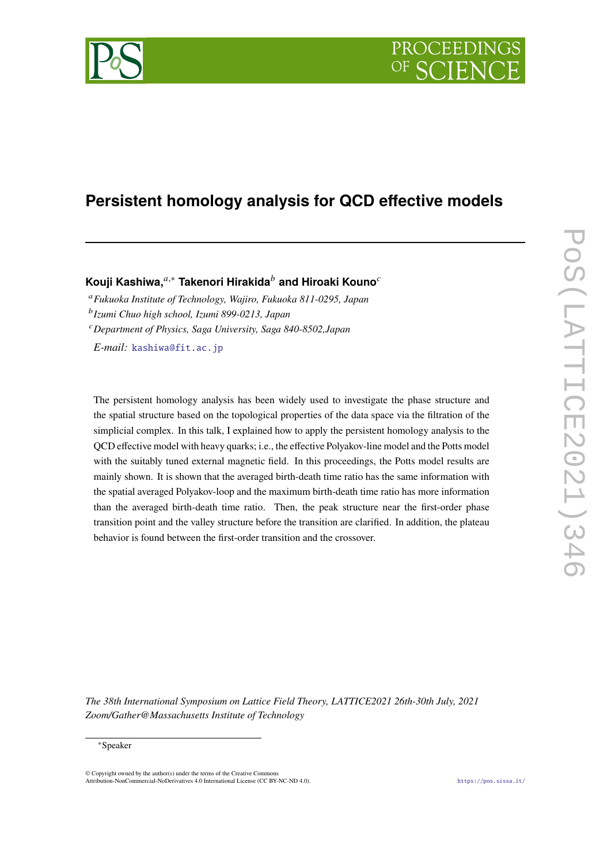# PROCEEDIN



# **Persistent homology analysis for QCD effective models**

**Kouji Kashiwa,**<sup>*a*,∗</sup> Takenori Hirakida<sup>*b*</sup> and Hiroaki Kouno<sup>*c*</sup>

<sup>𝑎</sup>*Fukuoka Institute of Technology, Wajiro, Fukuoka 811-0295, Japan* 𝑏 *Izumi Chuo high school, Izumi 899-0213, Japan* <sup>𝑐</sup>*Department of Physics, Saga University, Saga 840-8502,Japan*

*E-mail:* [kashiwa@fit.ac.jp](mailto:kashiwa@fit.ac.jp)

The persistent homology analysis has been widely used to investigate the phase structure and the spatial structure based on the topological properties of the data space via the filtration of the simplicial complex. In this talk, I explained how to apply the persistent homology analysis to the QCD effective model with heavy quarks; i.e., the effective Polyakov-line model and the Potts model with the suitably tuned external magnetic field. In this proceedings, the Potts model results are mainly shown. It is shown that the averaged birth-death time ratio has the same information with the spatial averaged Polyakov-loop and the maximum birth-death time ratio has more information than the averaged birth-death time ratio. Then, the peak structure near the first-order phase transition point and the valley structure before the transition are clarified. In addition, the plateau behavior is found between the first-order transition and the crossover.

*The 38th International Symposium on Lattice Field Theory, LATTICE2021 26th-30th July, 2021 Zoom/Gather@Massachusetts Institute of Technology*

#### <sup>∗</sup>Speaker

 $\odot$  Copyright owned by the author(s) under the terms of the Creative Common Attribution-NonCommercial-NoDerivatives 4.0 International License (CC BY-NC-ND 4.0). <https://pos.sissa.it/>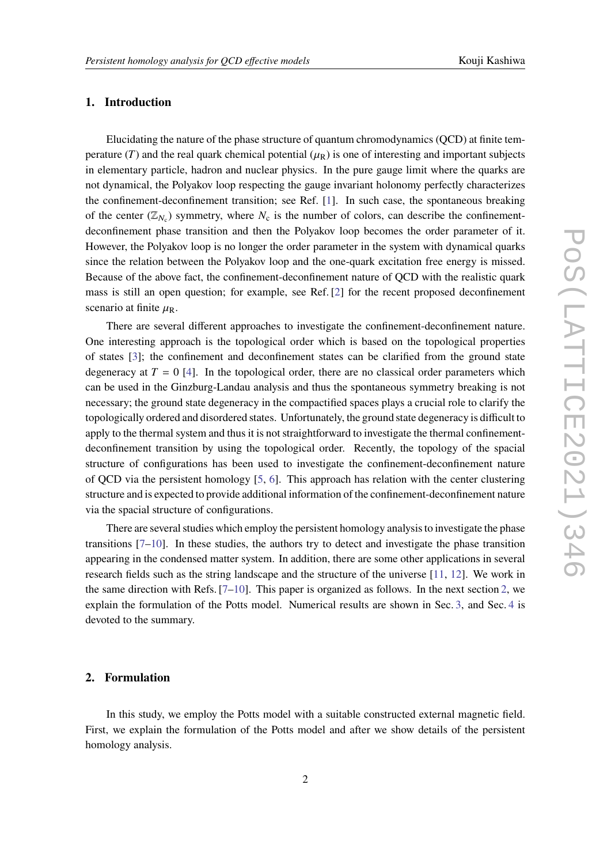## **1. Introduction**

Elucidating the nature of the phase structure of quantum chromodynamics (QCD) at finite temperature (T) and the real quark chemical potential ( $\mu_R$ ) is one of interesting and important subjects in elementary particle, hadron and nuclear physics. In the pure gauge limit where the quarks are not dynamical, the Polyakov loop respecting the gauge invariant holonomy perfectly characterizes the confinement-deconfinement transition; see Ref. [\[1\]](#page-5-0). In such case, the spontaneous breaking of the center  $(\mathbb{Z}_{N_c})$  symmetry, where  $N_c$  is the number of colors, can describe the confinementdeconfinement phase transition and then the Polyakov loop becomes the order parameter of it. However, the Polyakov loop is no longer the order parameter in the system with dynamical quarks since the relation between the Polyakov loop and the one-quark excitation free energy is missed. Because of the above fact, the confinement-deconfinement nature of QCD with the realistic quark mass is still an open question; for example, see Ref. [\[2\]](#page-5-1) for the recent proposed deconfinement scenario at finite  $\mu_R$ .

There are several different approaches to investigate the confinement-deconfinement nature. One interesting approach is the topological order which is based on the topological properties of states [\[3\]](#page-5-2); the confinement and deconfinement states can be clarified from the ground state degeneracy at  $T = 0$  [\[4\]](#page-5-3). In the topological order, there are no classical order parameters which can be used in the Ginzburg-Landau analysis and thus the spontaneous symmetry breaking is not necessary; the ground state degeneracy in the compactified spaces plays a crucial role to clarify the topologically ordered and disordered states. Unfortunately, the ground state degeneracy is difficult to apply to the thermal system and thus it is not straightforward to investigate the thermal confinementdeconfinement transition by using the topological order. Recently, the topology of the spacial structure of configurations has been used to investigate the confinement-deconfinement nature of QCD via the persistent homology [\[5,](#page-5-4) [6\]](#page-5-5). This approach has relation with the center clustering structure and is expected to provide additional information of the confinement-deconfinement nature via the spacial structure of configurations.

There are several studies which employ the persistent homology analysis to investigate the phase transitions [\[7](#page-5-6)[–10\]](#page-5-7). In these studies, the authors try to detect and investigate the phase transition appearing in the condensed matter system. In addition, there are some other applications in several research fields such as the string landscape and the structure of the universe [\[11,](#page-5-8) [12\]](#page-6-0). We work in the same direction with Refs.  $[7-10]$  $[7-10]$ . This paper is organized as follows. In the next section [2,](#page-1-0) we explain the formulation of the Potts model. Numerical results are shown in Sec. [3,](#page-4-0) and Sec. [4](#page-5-9) is devoted to the summary.

#### <span id="page-1-0"></span>**2. Formulation**

In this study, we employ the Potts model with a suitable constructed external magnetic field. First, we explain the formulation of the Potts model and after we show details of the persistent homology analysis.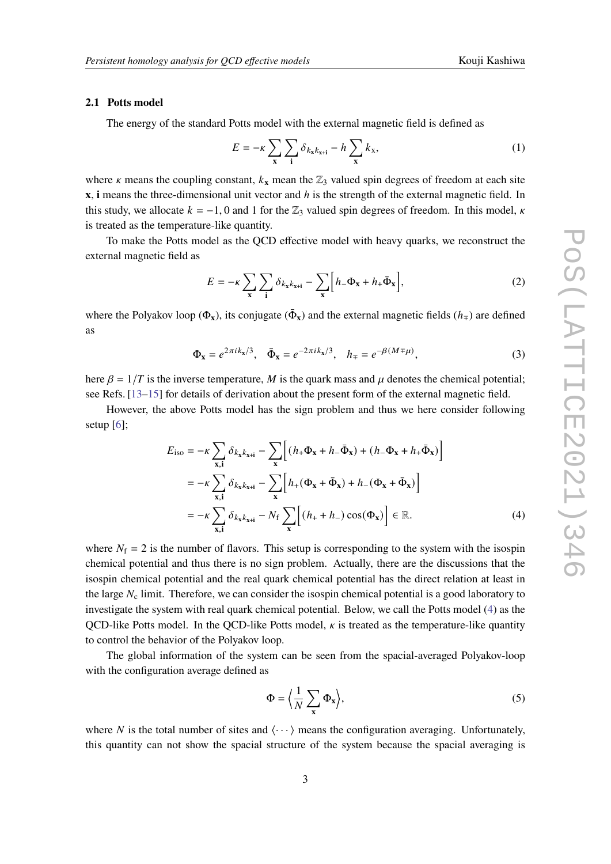#### **2.1 Potts model**

The energy of the standard Potts model with the external magnetic field is defined as

$$
E = -\kappa \sum_{\mathbf{x}} \sum_{\mathbf{i}} \delta_{k_{\mathbf{x}}k_{\mathbf{x}+\mathbf{i}}} - h \sum_{\mathbf{x}} k_{\mathbf{x}},\tag{1}
$$

where  $\kappa$  means the coupling constant,  $k_x$  mean the  $\mathbb{Z}_3$  valued spin degrees of freedom at each site **x**, **i** means the three-dimensional unit vector and h is the strength of the external magnetic field. In this study, we allocate  $k = -1, 0$  and 1 for the  $\mathbb{Z}_3$  valued spin degrees of freedom. In this model,  $\kappa$ is treated as the temperature-like quantity.

To make the Potts model as the QCD effective model with heavy quarks, we reconstruct the external magnetic field as

$$
E = -\kappa \sum_{\mathbf{x}} \sum_{\mathbf{i}} \delta_{k_{\mathbf{x}}k_{\mathbf{x}+\mathbf{i}}} - \sum_{\mathbf{x}} \Big[ h_{-} \Phi_{\mathbf{x}} + h_{+} \bar{\Phi}_{\mathbf{x}} \Big], \tag{2}
$$

where the Polyakov loop ( $\Phi_x$ ), its conjugate ( $\bar{\Phi}_x$ ) and the external magnetic fields ( $h_{\mp}$ ) are defined as

$$
\Phi_{\mathbf{x}} = e^{2\pi i k_{\mathbf{x}}/3}, \quad \bar{\Phi}_{\mathbf{x}} = e^{-2\pi i k_{\mathbf{x}}/3}, \quad h_{\mp} = e^{-\beta(M \mp \mu)}, \tag{3}
$$

here  $\beta = 1/T$  is the inverse temperature, M is the quark mass and  $\mu$  denotes the chemical potential; see Refs. [\[13–](#page-6-1)[15\]](#page-6-2) for details of derivation about the present form of the external magnetic field.

However, the above Potts model has the sign problem and thus we here consider following setup [\[6\]](#page-5-5);

$$
E_{\text{iso}} = -\kappa \sum_{\mathbf{x}, \mathbf{i}} \delta_{k_{\mathbf{x}}k_{\mathbf{x}+\mathbf{i}}} - \sum_{\mathbf{x}} \left[ (h_{+} \Phi_{\mathbf{x}} + h_{-} \bar{\Phi}_{\mathbf{x}}) + (h_{-} \Phi_{\mathbf{x}} + h_{+} \bar{\Phi}_{\mathbf{x}}) \right]
$$
  
=  $-\kappa \sum_{\mathbf{x}, \mathbf{i}} \delta_{k_{\mathbf{x}}k_{\mathbf{x}+\mathbf{i}}} - \sum_{\mathbf{x}} \left[ h_{+} (\Phi_{\mathbf{x}} + \bar{\Phi}_{\mathbf{x}}) + h_{-} (\Phi_{\mathbf{x}} + \bar{\Phi}_{\mathbf{x}}) \right]$   
=  $-\kappa \sum_{\mathbf{x}, \mathbf{i}} \delta_{k_{\mathbf{x}}k_{\mathbf{x}+\mathbf{i}}} - N_{\text{f}} \sum_{\mathbf{x}} \left[ (h_{+} + h_{-}) \cos(\Phi_{\mathbf{x}}) \right] \in \mathbb{R}.$  (4)

where  $N_f = 2$  is the number of flavors. This setup is corresponding to the system with the isospin chemical potential and thus there is no sign problem. Actually, there are the discussions that the isospin chemical potential and the real quark chemical potential has the direct relation at least in the large  $N_c$  limit. Therefore, we can consider the isospin chemical potential is a good laboratory to investigate the system with real quark chemical potential. Below, we call the Potts model [\(4\)](#page-2-0) as the OCD-like Potts model. In the OCD-like Potts model,  $\kappa$  is treated as the temperature-like quantity to control the behavior of the Polyakov loop.

The global information of the system can be seen from the spacial-averaged Polyakov-loop with the configuration average defined as

<span id="page-2-0"></span>
$$
\Phi = \left\langle \frac{1}{N} \sum_{\mathbf{x}} \Phi_{\mathbf{x}} \right\rangle, \tag{5}
$$

where N is the total number of sites and  $\langle \cdots \rangle$  means the configuration averaging. Unfortunately, this quantity can not show the spacial structure of the system because the spacial averaging is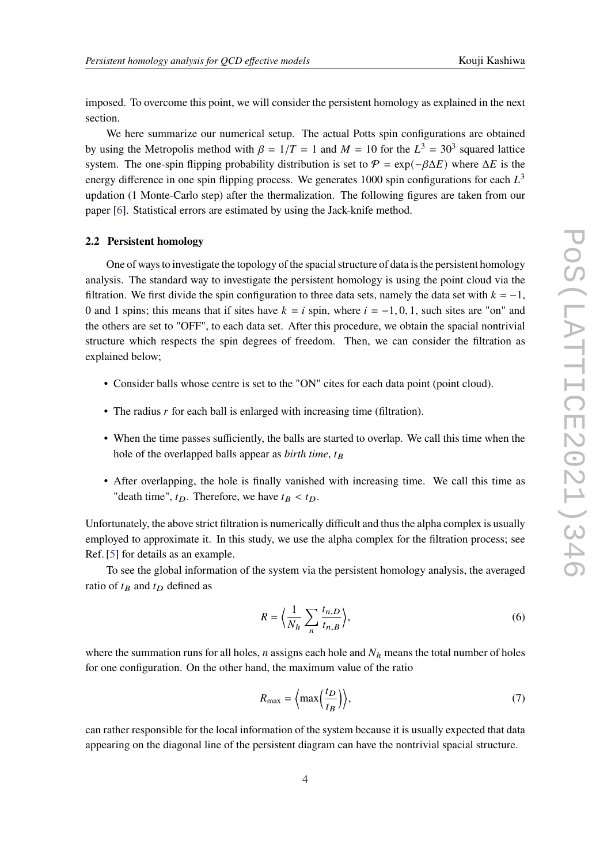imposed. To overcome this point, we will consider the persistent homology as explained in the next section.

We here summarize our numerical setup. The actual Potts spin configurations are obtained by using the Metropolis method with  $\beta = 1/T = 1$  and  $M = 10$  for the  $L^3 = 30^3$  squared lattice system. The one-spin flipping probability distribution is set to  $\mathcal{P} = \exp(-\beta \Delta E)$  where  $\Delta E$  is the energy difference in one spin flipping process. We generates 1000 spin configurations for each  $L^3$ updation (1 Monte-Carlo step) after the thermalization. The following figures are taken from our paper [\[6\]](#page-5-5). Statistical errors are estimated by using the Jack-knife method.

#### **2.2 Persistent homology**

One of ways to investigate the topology of the spacial structure of data is the persistent homology analysis. The standard way to investigate the persistent homology is using the point cloud via the filtration. We first divide the spin configuration to three data sets, namely the data set with  $k = -1$ , 0 and 1 spins; this means that if sites have  $k = i$  spin, where  $i = -1, 0, 1$ , such sites are "on" and the others are set to "OFF", to each data set. After this procedure, we obtain the spacial nontrivial structure which respects the spin degrees of freedom. Then, we can consider the filtration as explained below;

- Consider balls whose centre is set to the "ON" cites for each data point (point cloud).
- The radius  $r$  for each ball is enlarged with increasing time (filtration).
- When the time passes sufficiently, the balls are started to overlap. We call this time when the hole of the overlapped balls appear as *birth time*,  $t_B$
- After overlapping, the hole is finally vanished with increasing time. We call this time as "death time",  $t_D$ . Therefore, we have  $t_B < t_D$ .

Unfortunately, the above strict filtration is numerically difficult and thus the alpha complex is usually employed to approximate it. In this study, we use the alpha complex for the filtration process; see Ref. [\[5\]](#page-5-4) for details as an example.

To see the global information of the system via the persistent homology analysis, the averaged ratio of  $t_B$  and  $t_D$  defined as

$$
R = \left\langle \frac{1}{N_h} \sum_{n} \frac{t_{n,D}}{t_{n,B}} \right\rangle,\tag{6}
$$

where the summation runs for all holes,  $n$  assigns each hole and  $N<sub>h</sub>$  means the total number of holes for one configuration. On the other hand, the maximum value of the ratio

$$
R_{\text{max}} = \left\langle \max\left(\frac{t_D}{t_B}\right) \right\rangle,\tag{7}
$$

can rather responsible for the local information of the system because it is usually expected that data appearing on the diagonal line of the persistent diagram can have the nontrivial spacial structure.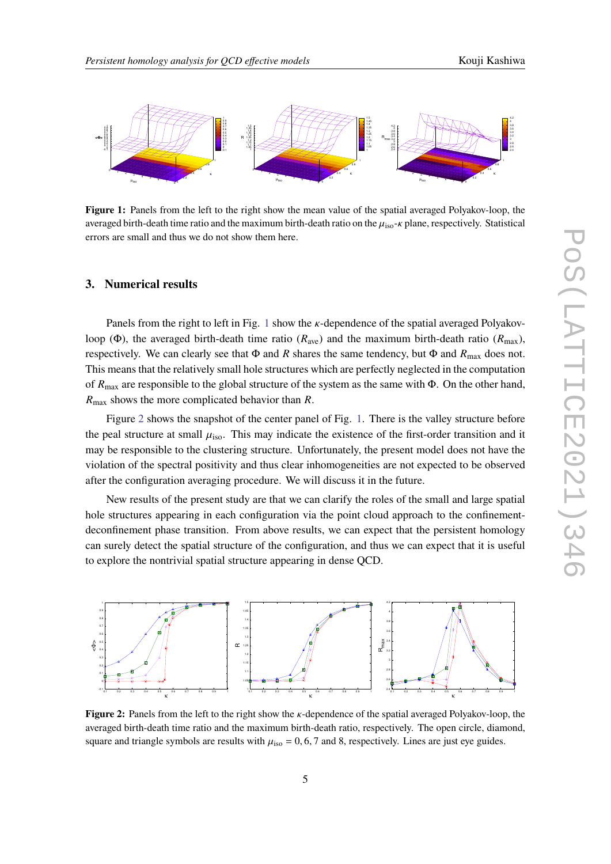<span id="page-4-1"></span>

**Figure 1:** Panels from the left to the right show the mean value of the spatial averaged Polyakov-loop, the averaged birth-death time ratio and the maximum birth-death ratio on the  $\mu_{iso}$ - $\kappa$  plane, respectively. Statistical errors are small and thus we do not show them here.

#### <span id="page-4-0"></span>**3. Numerical results**

Panels from the right to left in Fig. [1](#page-4-1) show the  $\kappa$ -dependence of the spatial averaged Polyakovloop (Φ), the averaged birth-death time ratio ( $R_{ave}$ ) and the maximum birth-death ratio ( $R_{max}$ ), respectively. We can clearly see that  $\Phi$  and R shares the same tendency, but  $\Phi$  and  $R_{\text{max}}$  does not. This means that the relatively small hole structures which are perfectly neglected in the computation of  $R_{\text{max}}$  are responsible to the global structure of the system as the same with  $\Phi$ . On the other hand,  $R_{\text{max}}$  shows the more complicated behavior than R.

Figure [2](#page-4-2) shows the snapshot of the center panel of Fig. [1.](#page-4-1) There is the valley structure before the peal structure at small  $\mu_{iso}$ . This may indicate the existence of the first-order transition and it may be responsible to the clustering structure. Unfortunately, the present model does not have the violation of the spectral positivity and thus clear inhomogeneities are not expected to be observed after the configuration averaging procedure. We will discuss it in the future.

New results of the present study are that we can clarify the roles of the small and large spatial hole structures appearing in each configuration via the point cloud approach to the confinementdeconfinement phase transition. From above results, we can expect that the persistent homology can surely detect the spatial structure of the configuration, and thus we can expect that it is useful to explore the nontrivial spatial structure appearing in dense QCD.

<span id="page-4-2"></span>

**Figure 2:** Panels from the left to the right show the *K*-dependence of the spatial averaged Polyakov-loop, the averaged birth-death time ratio and the maximum birth-death ratio, respectively. The open circle, diamond, square and triangle symbols are results with  $\mu_{iso} = 0, 6, 7$  and 8, respectively. Lines are just eye guides.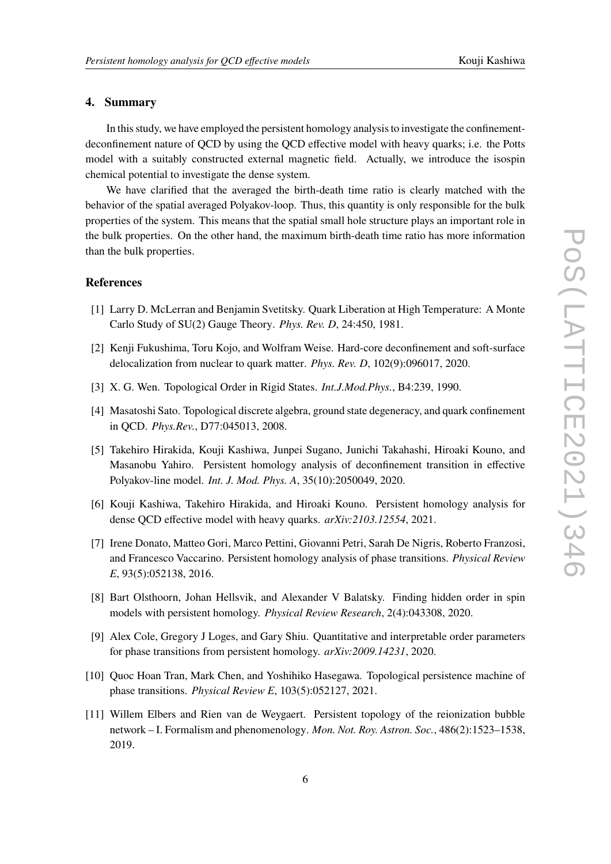### <span id="page-5-9"></span>**4. Summary**

In this study, we have employed the persistent homology analysis to investigate the confinementdeconfinement nature of QCD by using the QCD effective model with heavy quarks; i.e. the Potts model with a suitably constructed external magnetic field. Actually, we introduce the isospin chemical potential to investigate the dense system.

We have clarified that the averaged the birth-death time ratio is clearly matched with the behavior of the spatial averaged Polyakov-loop. Thus, this quantity is only responsible for the bulk properties of the system. This means that the spatial small hole structure plays an important role in the bulk properties. On the other hand, the maximum birth-death time ratio has more information than the bulk properties.

#### **References**

- <span id="page-5-0"></span>[1] Larry D. McLerran and Benjamin Svetitsky. Quark Liberation at High Temperature: A Monte Carlo Study of SU(2) Gauge Theory. *Phys. Rev. D*, 24:450, 1981.
- <span id="page-5-1"></span>[2] Kenji Fukushima, Toru Kojo, and Wolfram Weise. Hard-core deconfinement and soft-surface delocalization from nuclear to quark matter. *Phys. Rev. D*, 102(9):096017, 2020.
- <span id="page-5-2"></span>[3] X. G. Wen. Topological Order in Rigid States. *Int.J.Mod.Phys.*, B4:239, 1990.
- <span id="page-5-3"></span>[4] Masatoshi Sato. Topological discrete algebra, ground state degeneracy, and quark confinement in QCD. *Phys.Rev.*, D77:045013, 2008.
- <span id="page-5-4"></span>[5] Takehiro Hirakida, Kouji Kashiwa, Junpei Sugano, Junichi Takahashi, Hiroaki Kouno, and Masanobu Yahiro. Persistent homology analysis of deconfinement transition in effective Polyakov-line model. *Int. J. Mod. Phys. A*, 35(10):2050049, 2020.
- <span id="page-5-5"></span>[6] Kouji Kashiwa, Takehiro Hirakida, and Hiroaki Kouno. Persistent homology analysis for dense QCD effective model with heavy quarks. *arXiv:2103.12554*, 2021.
- <span id="page-5-6"></span>[7] Irene Donato, Matteo Gori, Marco Pettini, Giovanni Petri, Sarah De Nigris, Roberto Franzosi, and Francesco Vaccarino. Persistent homology analysis of phase transitions. *Physical Review E*, 93(5):052138, 2016.
- [8] Bart Olsthoorn, Johan Hellsvik, and Alexander V Balatsky. Finding hidden order in spin models with persistent homology. *Physical Review Research*, 2(4):043308, 2020.
- [9] Alex Cole, Gregory J Loges, and Gary Shiu. Quantitative and interpretable order parameters for phase transitions from persistent homology. *arXiv:2009.14231*, 2020.
- <span id="page-5-7"></span>[10] Quoc Hoan Tran, Mark Chen, and Yoshihiko Hasegawa. Topological persistence machine of phase transitions. *Physical Review E*, 103(5):052127, 2021.
- <span id="page-5-8"></span>[11] Willem Elbers and Rien van de Weygaert. Persistent topology of the reionization bubble network – I. Formalism and phenomenology. *Mon. Not. Roy. Astron. Soc.*, 486(2):1523–1538, 2019.